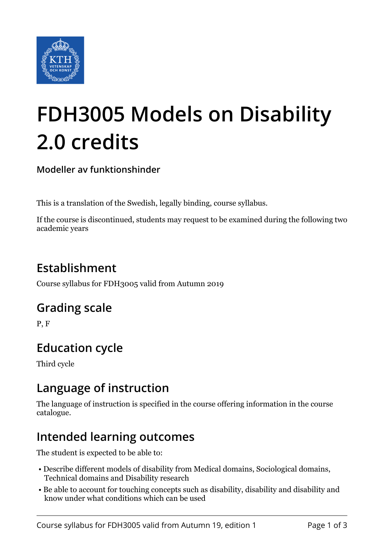

# **FDH3005 Models on Disability 2.0 credits**

**Modeller av funktionshinder**

This is a translation of the Swedish, legally binding, course syllabus.

If the course is discontinued, students may request to be examined during the following two academic years

# **Establishment**

Course syllabus for FDH3005 valid from Autumn 2019

### **Grading scale**

P, F

# **Education cycle**

Third cycle

### **Language of instruction**

The language of instruction is specified in the course offering information in the course catalogue.

### **Intended learning outcomes**

The student is expected to be able to:

- Describe different models of disability from Medical domains, Sociological domains, Technical domains and Disability research
- Be able to account for touching concepts such as disability, disability and disability and know under what conditions which can be used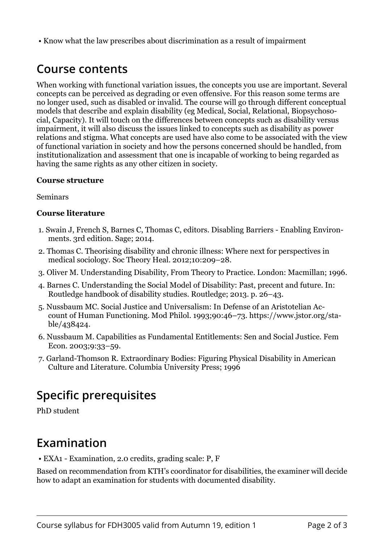• Know what the law prescribes about discrimination as a result of impairment

### **Course contents**

When working with functional variation issues, the concepts you use are important. Several concepts can be perceived as degrading or even offensive. For this reason some terms are no longer used, such as disabled or invalid. The course will go through different conceptual models that describe and explain disability (eg Medical, Social, Relational, Biopsychosocial, Capacity). It will touch on the differences between concepts such as disability versus impairment, it will also discuss the issues linked to concepts such as disability as power relations and stigma. What concepts are used have also come to be associated with the view of functional variation in society and how the persons concerned should be handled, from institutionalization and assessment that one is incapable of working to being regarded as having the same rights as any other citizen in society.

#### **Course structure**

Seminars

#### **Course literature**

- 1. Swain J, French S, Barnes C, Thomas C, editors. Disabling Barriers Enabling Environments. 3rd edition. Sage; 2014.
- 2. Thomas C. Theorising disability and chronic illness: Where next for perspectives in medical sociology. Soc Theory Heal. 2012;10:209–28.
- 3. Oliver M. Understanding Disability, From Theory to Practice. London: Macmillan; 1996.
- 4. Barnes C. Understanding the Social Model of Disability: Past, precent and future. In: Routledge handbook of disability studies. Routledge; 2013. p. 26–43.
- 5. Nussbaum MC. Social Justice and Universalism: In Defense of an Aristotelian Account of Human Functioning. Mod Philol. 1993;90:46–73. https://www.jstor.org/stable/438424.
- 6. Nussbaum M. Capabilities as Fundamental Entitlements: Sen and Social Justice. Fem Econ. 2003;9:33–59.
- 7. Garland-Thomson R. Extraordinary Bodies: Figuring Physical Disability in American Culture and Literature. Columbia University Press; 1996

# **Specific prerequisites**

PhD student

### **Examination**

• EXA1 - Examination, 2.0 credits, grading scale: P, F

Based on recommendation from KTH's coordinator for disabilities, the examiner will decide how to adapt an examination for students with documented disability.